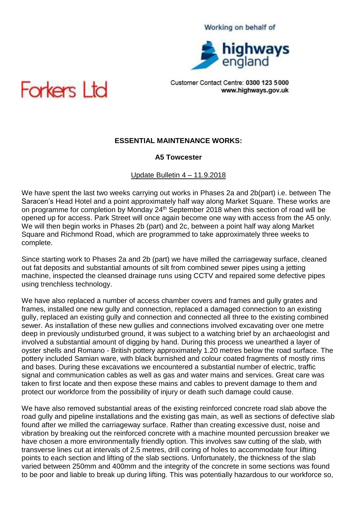#### Working on behalf of



Customer Contact Centre: 0300 123 5000 www.highways.gov.uk



# **ESSENTIAL MAINTENANCE WORKS:**

### **A5 Towcester**

#### Update Bulletin 4 – 11.9.2018

We have spent the last two weeks carrying out works in Phases 2a and 2b(part) i.e. between The Saracen's Head Hotel and a point approximately half way along Market Square. These works are on programme for completion by Monday 24<sup>th</sup> September 2018 when this section of road will be opened up for access. Park Street will once again become one way with access from the A5 only. We will then begin works in Phases 2b (part) and 2c, between a point half way along Market Square and Richmond Road, which are programmed to take approximately three weeks to complete.

Since starting work to Phases 2a and 2b (part) we have milled the carriageway surface, cleaned out fat deposits and substantial amounts of silt from combined sewer pipes using a jetting machine, inspected the cleansed drainage runs using CCTV and repaired some defective pipes using trenchless technology.

We have also replaced a number of access chamber covers and frames and gully grates and frames, installed one new gully and connection, replaced a damaged connection to an existing gully, replaced an existing gully and connection and connected all three to the existing combined sewer. As installation of these new gullies and connections involved excavating over one metre deep in previously undisturbed ground, it was subject to a watching brief by an archaeologist and involved a substantial amount of digging by hand. During this process we unearthed a layer of oyster shells and Romano - British pottery approximately 1.20 metres below the road surface. The pottery included Samian ware, with black burnished and colour coated fragments of mostly rims and bases. During these excavations we encountered a substantial number of electric, traffic signal and communication cables as well as gas and water mains and services. Great care was taken to first locate and then expose these mains and cables to prevent damage to them and protect our workforce from the possibility of injury or death such damage could cause.

We have also removed substantial areas of the existing reinforced concrete road slab above the road gully and pipeline installations and the existing gas main, as well as sections of defective slab found after we milled the carriageway surface. Rather than creating excessive dust, noise and vibration by breaking out the reinforced concrete with a machine mounted percussion breaker we have chosen a more environmentally friendly option. This involves saw cutting of the slab, with transverse lines cut at intervals of 2.5 metres, drill coring of holes to accommodate four lifting points to each section and lifting of the slab sections. Unfortunately, the thickness of the slab varied between 250mm and 400mm and the integrity of the concrete in some sections was found to be poor and liable to break up during lifting. This was potentially hazardous to our workforce so,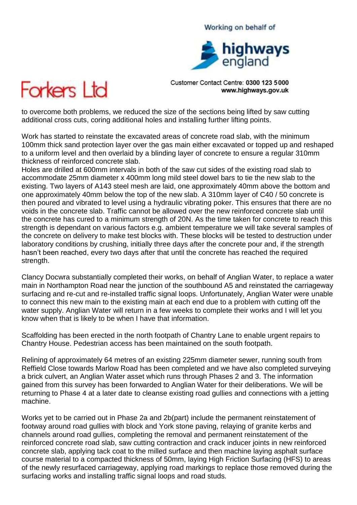## Working on behalf of



Customer Contact Centre: 0300 123 5000 www.highways.gov.uk



to overcome both problems, we reduced the size of the sections being lifted by saw cutting additional cross cuts, coring additional holes and installing further lifting points.

Work has started to reinstate the excavated areas of concrete road slab, with the minimum 100mm thick sand protection layer over the gas main either excavated or topped up and reshaped to a uniform level and then overlaid by a blinding layer of concrete to ensure a regular 310mm thickness of reinforced concrete slab.

Holes are drilled at 600mm intervals in both of the saw cut sides of the existing road slab to accommodate 25mm diameter x 400mm long mild steel dowel bars to tie the new slab to the existing. Two layers of A143 steel mesh are laid, one approximately 40mm above the bottom and one approximately 40mm below the top of the new slab. A 310mm layer of C40 / 50 concrete is then poured and vibrated to level using a hydraulic vibrating poker. This ensures that there are no voids in the concrete slab. Traffic cannot be allowed over the new reinforced concrete slab until the concrete has cured to a minimum strength of 20N. As the time taken for concrete to reach this strength is dependant on various factors e.g. ambient temperature we will take several samples of the concrete on delivery to make test blocks with. These blocks will be tested to destruction under laboratory conditions by crushing, initially three days after the concrete pour and, if the strength hasn't been reached, every two days after that until the concrete has reached the required strength.

Clancy Docwra substantially completed their works, on behalf of Anglian Water, to replace a water main in Northampton Road near the junction of the southbound A5 and reinstated the carriageway surfacing and re-cut and re-installed traffic signal loops. Unfortunately, Anglian Water were unable to connect this new main to the existing main at each end due to a problem with cutting off the water supply. Anglian Water will return in a few weeks to complete their works and I will let you know when that is likely to be when I have that information.

Scaffolding has been erected in the north footpath of Chantry Lane to enable urgent repairs to Chantry House. Pedestrian access has been maintained on the south footpath.

Relining of approximately 64 metres of an existing 225mm diameter sewer, running south from Reffield Close towards Marlow Road has been completed and we have also completed surveying a brick culvert, an Anglian Water asset which runs through Phases 2 and 3. The information gained from this survey has been forwarded to Anglian Water for their deliberations. We will be returning to Phase 4 at a later date to cleanse existing road gullies and connections with a jetting machine.

Works yet to be carried out in Phase 2a and 2b(part) include the permanent reinstatement of footway around road gullies with block and York stone paving, relaying of granite kerbs and channels around road gullies, completing the removal and permanent reinstatement of the reinforced concrete road slab, saw cutting contraction and crack inducer joints in new reinforced concrete slab, applying tack coat to the milled surface and then machine laying asphalt surface course material to a compacted thickness of 50mm, laying High Friction Surfacing (HFS) to areas of the newly resurfaced carriageway, applying road markings to replace those removed during the surfacing works and installing traffic signal loops and road studs.